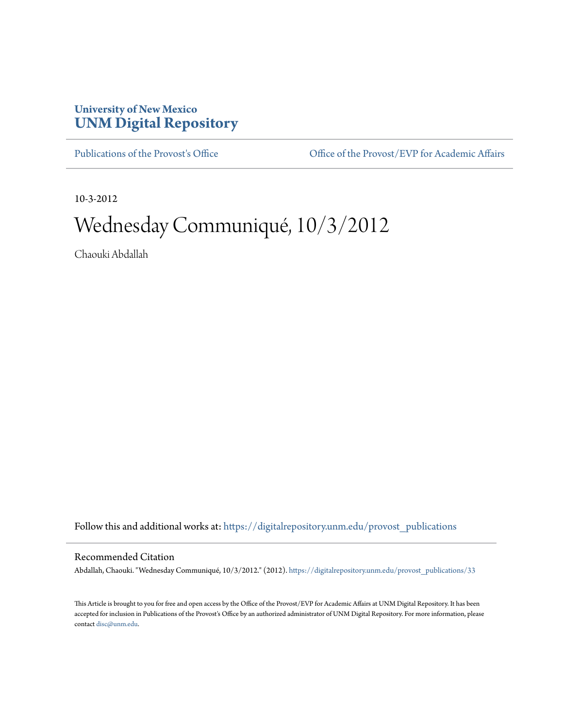## **University of New Mexico [UNM Digital Repository](https://digitalrepository.unm.edu?utm_source=digitalrepository.unm.edu%2Fprovost_publications%2F33&utm_medium=PDF&utm_campaign=PDFCoverPages)**

[Publications of the Provost's Office](https://digitalrepository.unm.edu/provost_publications?utm_source=digitalrepository.unm.edu%2Fprovost_publications%2F33&utm_medium=PDF&utm_campaign=PDFCoverPages) Office [Office of the Provost/EVP for Academic Affairs](https://digitalrepository.unm.edu/ofc_provost?utm_source=digitalrepository.unm.edu%2Fprovost_publications%2F33&utm_medium=PDF&utm_campaign=PDFCoverPages)

10-3-2012

# Wednesday Communiqué, 10/3/2012

Chaouki Abdallah

Follow this and additional works at: [https://digitalrepository.unm.edu/provost\\_publications](https://digitalrepository.unm.edu/provost_publications?utm_source=digitalrepository.unm.edu%2Fprovost_publications%2F33&utm_medium=PDF&utm_campaign=PDFCoverPages)

#### Recommended Citation

Abdallah, Chaouki. "Wednesday Communiqué, 10/3/2012." (2012). [https://digitalrepository.unm.edu/provost\\_publications/33](https://digitalrepository.unm.edu/provost_publications/33?utm_source=digitalrepository.unm.edu%2Fprovost_publications%2F33&utm_medium=PDF&utm_campaign=PDFCoverPages)

This Article is brought to you for free and open access by the Office of the Provost/EVP for Academic Affairs at UNM Digital Repository. It has been accepted for inclusion in Publications of the Provost's Office by an authorized administrator of UNM Digital Repository. For more information, please contact [disc@unm.edu.](mailto:disc@unm.edu)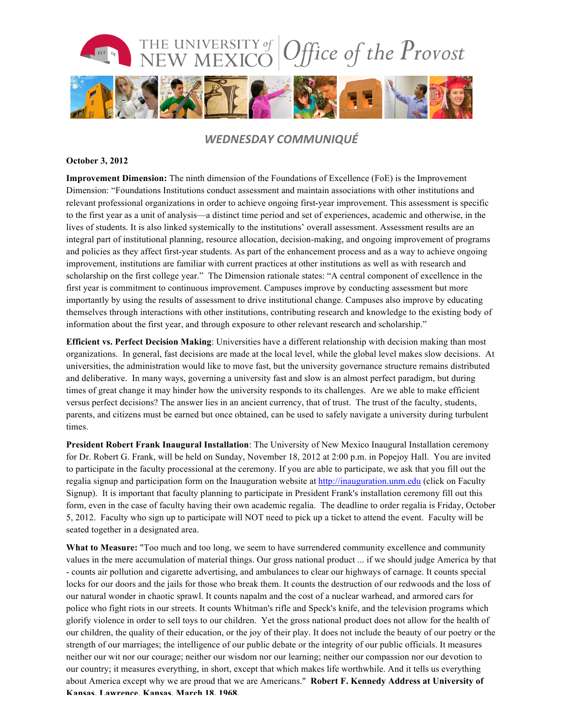

### *WEDNESDAY COMMUNIQUÉ*

#### **October 3, 2012**

**Improvement Dimension:** The ninth dimension of the Foundations of Excellence (FoE) is the Improvement Dimension: "Foundations Institutions conduct assessment and maintain associations with other institutions and relevant professional organizations in order to achieve ongoing first-year improvement. This assessment is specific to the first year as a unit of analysis—a distinct time period and set of experiences, academic and otherwise, in the lives of students. It is also linked systemically to the institutions' overall assessment. Assessment results are an integral part of institutional planning, resource allocation, decision-making, and ongoing improvement of programs and policies as they affect first-year students. As part of the enhancement process and as a way to achieve ongoing improvement, institutions are familiar with current practices at other institutions as well as with research and scholarship on the first college year." The Dimension rationale states: "A central component of excellence in the first year is commitment to continuous improvement. Campuses improve by conducting assessment but more importantly by using the results of assessment to drive institutional change. Campuses also improve by educating themselves through interactions with other institutions, contributing research and knowledge to the existing body of information about the first year, and through exposure to other relevant research and scholarship."

**Efficient vs. Perfect Decision Making**: Universities have a different relationship with decision making than most organizations. In general, fast decisions are made at the local level, while the global level makes slow decisions. At universities, the administration would like to move fast, but the university governance structure remains distributed and deliberative. In many ways, governing a university fast and slow is an almost perfect paradigm, but during times of great change it may hinder how the university responds to its challenges. Are we able to make efficient versus perfect decisions? The answer lies in an ancient currency, that of trust. The trust of the faculty, students, parents, and citizens must be earned but once obtained, can be used to safely navigate a university during turbulent times.

**President Robert Frank Inaugural Installation**: The University of New Mexico Inaugural Installation ceremony for Dr. Robert G. Frank, will be held on Sunday, November 18, 2012 at 2:00 p.m. in Popejoy Hall. You are invited to participate in the faculty processional at the ceremony. If you are able to participate, we ask that you fill out the regalia signup and participation form on the Inauguration website at http://inauguration.unm.edu (click on Faculty Signup). It is important that faculty planning to participate in President Frank's installation ceremony fill out this form, even in the case of faculty having their own academic regalia. The deadline to order regalia is Friday, October 5, 2012. Faculty who sign up to participate will NOT need to pick up a ticket to attend the event. Faculty will be seated together in a designated area.

**What to Measure:** "Too much and too long, we seem to have surrendered community excellence and community values in the mere accumulation of material things. Our gross national product ... if we should judge America by that - counts air pollution and cigarette advertising, and ambulances to clear our highways of carnage. It counts special locks for our doors and the jails for those who break them. It counts the destruction of our redwoods and the loss of our natural wonder in chaotic sprawl. It counts napalm and the cost of a nuclear warhead, and armored cars for police who fight riots in our streets. It counts Whitman's rifle and Speck's knife, and the television programs which glorify violence in order to sell toys to our children. Yet the gross national product does not allow for the health of our children, the quality of their education, or the joy of their play. It does not include the beauty of our poetry or the strength of our marriages; the intelligence of our public debate or the integrity of our public officials. It measures neither our wit nor our courage; neither our wisdom nor our learning; neither our compassion nor our devotion to our country; it measures everything, in short, except that which makes life worthwhile. And it tells us everything about America except why we are proud that we are Americans." **Robert F. Kennedy Address at University of Kansas, Lawrence, Kansas, March 18, 1968.**